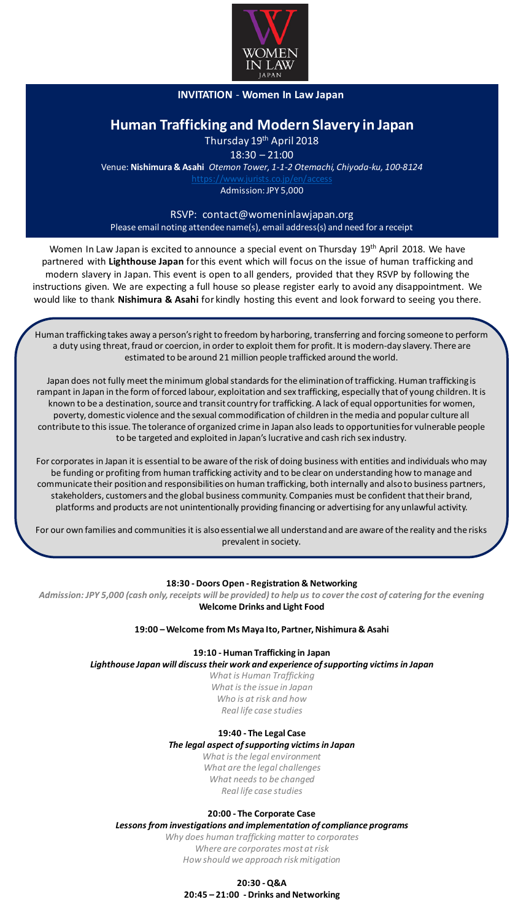

# **INVITATION** - **Women In Law Japan**

# **Human Trafficking and Modern Slavery in Japan**

Thursday 19<sup>th</sup> April 2018

18:30 – 21:00 Venue: **Nishimura & Asahi** *Otemon Tower, 1-1-2 Otemachi, Chiyoda-ku, 100-8124*

Admission: JPY 5,000

# RSVP: contact@womeninlawjapan.org Please email noting attendee name(s), email address(s) and need for a receipt

Women In Law Japan is excited to announce a special event on Thursday 19<sup>th</sup> April 2018. We have partnered with **Lighthouse Japan** for this event which will focus on the issue of human trafficking and modern slavery in Japan. This event is open to all genders, provided that they RSVP by following the instructions given. We are expecting a full house so please register early to avoid any disappointment. We would like to thank **Nishimura & Asahi** for kindly hosting this event and look forward to seeing you there.

Human trafficking takes away a person's right to freedom by harboring, transferring and forcing someone to perform a duty using threat, fraud or coercion, in order to exploit them for profit. It is modern-day slavery. There are estimated to be around 21 million people trafficked around the world.

Japan does not fully meet the minimum global standards for the elimination of trafficking. Human trafficking is rampant in Japan in the form of forced labour, exploitation and sex trafficking, especially that of young children. It is known to be a destination, source and transit country for trafficking. A lack of equal opportunities for women, poverty, domestic violence and the sexual commodification of children in the media and popular culture all contribute to this issue. The tolerance of organized crime in Japan also leads to opportunities for vulnerable people to be targeted and exploited in Japan's lucrative and cash rich sex industry.

For corporates in Japan it is essential to be aware of the risk of doing business with entities and individuals who may be funding or profiting from human trafficking activity and to be clear on understanding how to manage and communicate their position and responsibilities on human trafficking, both internally and also to business partners, stakeholders, customers and the global business community. Companies must be confident that their brand, platforms and products are not unintentionally providing financing or advertising for any unlawful activity.

For our own families and communities it is also essential we all understand and are aware of the reality and the risks prevalent in society.

# **18:30 - Doors Open - Registration & Networking**

*Admission: JPY 5,000 (cash only, receipts will be provided) to help us to cover the cost of catering for the evening*  **Welcome Drinks and Light Food**

## **19:00 –Welcome from Ms Maya Ito, Partner, Nishimura & Asahi**

**19:10 - Human Trafficking in Japan**

*Lighthouse Japan will discuss their work and experience of supporting victims in Japan*

*What is Human Trafficking What is the issue in Japan Who is at risk and how Real life case studies* 

# **19:40 - The Legal Case**

*The legal aspect of supporting victims in Japan*

*What is the legal environment What are the legal challenges What needs to be changed Real life case studies*

# **20:00 - The Corporate Case**

*Lessons from investigations and implementation of compliance programs*

*Why does human trafficking matter to corporates Where are corporates most at risk How should we approach risk mitigation*

# **20:30 -Q&A 20:45 – 21:00 - Drinks and Networking**